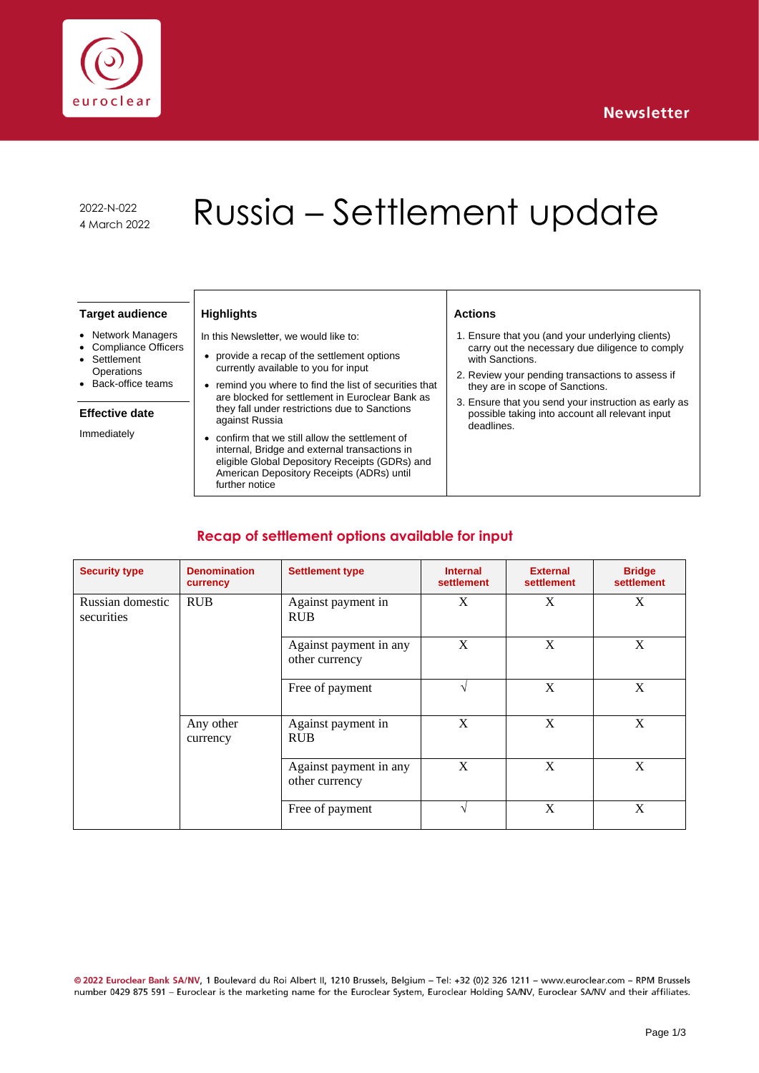

2022-N-022

# 2022-N-022<br>4 March 2022 Russia – Settlement update

#### **Target audience**

- Network Managers
- Compliance Officers **Settlement**
- **Operations** • Back-office teams

### **Effective date**

Immediately

# **Highlights**

- In this Newsletter, we would like to:
- provide a recap of the settlement options currently available to you for input
- remind you where to find the list of securities that are blocked for settlement in Euroclear Bank as they fall under restrictions due to Sanctions against Russia
- confirm that we still allow the settlement of internal, Bridge and external transactions in eligible Global Depository Receipts (GDRs) and American Depository Receipts (ADRs) until further notice

#### **Actions**

- 1. Ensure that you (and your underlying clients) carry out the necessary due diligence to comply with Sanctions.
- 2. Review your pending transactions to assess if they are in scope of Sanctions.
- 3. Ensure that you send your instruction as early as possible taking into account all relevant input deadlines.

# **Recap of settlement options available for input**

| <b>Security type</b>           | <b>Denomination</b><br>currency | <b>Settlement type</b>                   | <b>Internal</b><br>settlement | <b>External</b><br>settlement | <b>Bridge</b><br>settlement |
|--------------------------------|---------------------------------|------------------------------------------|-------------------------------|-------------------------------|-----------------------------|
| Russian domestic<br>securities | <b>RUB</b>                      | Against payment in<br><b>RUB</b>         | X                             | X                             | X                           |
|                                |                                 | Against payment in any<br>other currency | X                             | X                             | X                           |
|                                |                                 | Free of payment                          | $\sqrt{ }$                    | X                             | X                           |
|                                | Any other<br>currency           | Against payment in<br><b>RUB</b>         | X                             | X                             | X                           |
|                                |                                 | Against payment in any<br>other currency | X                             | X                             | X                           |
|                                |                                 | Free of payment                          | $\sqrt{ }$                    | X                             | X                           |

@ 2022 Euroclear Bank SA/NV, 1 Boulevard du Roi Albert II, 1210 Brussels, Belgium - Tel: +32 (0)2 326 1211 - www.euroclear.com - RPM Brussels number 0429 875 591 - Euroclear is the marketing name for the Euroclear System, Euroclear Holding SA/NV, Euroclear SA/NV and their affiliates.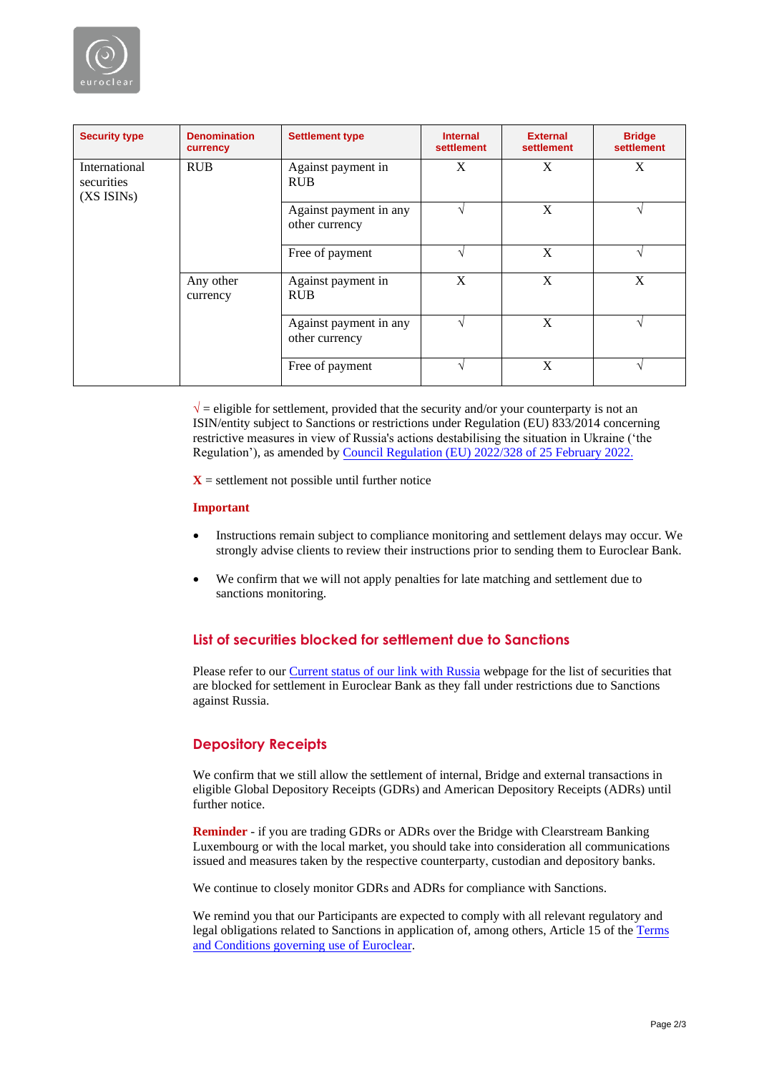

| <b>Security type</b>                                   | <b>Denomination</b><br>currency | <b>Settlement type</b>                   | <b>Internal</b><br>settlement | <b>External</b><br>settlement | <b>Bridge</b><br>settlement |
|--------------------------------------------------------|---------------------------------|------------------------------------------|-------------------------------|-------------------------------|-----------------------------|
| International<br>securities<br>(XS ISIN <sub>s</sub> ) | <b>RUB</b>                      | Against payment in<br><b>RUB</b>         | X                             | X                             | X                           |
|                                                        |                                 | Against payment in any<br>other currency |                               | X                             |                             |
|                                                        |                                 | Free of payment                          | ٦Ι                            | X                             | اد                          |
|                                                        | Any other<br>currency           | Against payment in<br><b>RUB</b>         | X                             | X                             | X                           |
|                                                        |                                 | Against payment in any<br>other currency | اد                            | X                             |                             |
|                                                        |                                 | Free of payment                          | ٦Ι                            | X                             |                             |

 $\sqrt{\ }$  = eligible for settlement, provided that the security and/or your counterparty is not an ISIN/entity subject to Sanctions or restrictions under Regulation (EU) 833/2014 concerning restrictive measures in view of Russia's actions destabilising the situation in Ukraine ('the Regulation'), as amended by [Council Regulation \(EU\) 2022/328 of 25 February 2022](https://eur-lex.europa.eu/legal-content/EN/TXT/?uri=uriserv%3AOJ.L_.2022.049.01.0001.01.ENG&toc=OJ%3AL%3A2022%3A049%3ATOC).

 $X =$  settlement not possible until further notice

#### **Important**

- Instructions remain subject to compliance monitoring and settlement delays may occur. We strongly advise clients to review their instructions prior to sending them to Euroclear Bank.
- We confirm that we will not apply penalties for late matching and settlement due to sanctions monitoring.

# **List of securities blocked for settlement due to Sanctions**

Please refer to our [Current status of our link with Russia](https://my.euroclear.com/eb/en/reference/markets/russia/russia---current-status-on-our-link-with-russia.html) webpage for the list of securities that are blocked for settlement in Euroclear Bank as they fall under restrictions due to Sanctions against Russia.

#### **Depository Receipts**

We confirm that we still allow the settlement of internal, Bridge and external transactions in eligible Global Depository Receipts (GDRs) and American Depository Receipts (ADRs) until further notice.

**Reminder** - if you are trading GDRs or ADRs over the Bridge with Clearstream Banking Luxembourg or with the local market, you should take into consideration all communications issued and measures taken by the respective counterparty, custodian and depository banks.

We continue to closely monitor GDRs and ADRs for compliance with Sanctions.

We remind you that our Participants are expected to comply with all relevant regulatory and legal obligations related to Sanctions in application of, among others, Article 15 of the [Terms](https://my.euroclear.com/content/dam/euroclear/Operational/EB/Legal%20information/Terms%20and%20conditions/public/LG310-terms-and-conditions-governing-use-of-euroclear.pdf)  [and Conditions governing use of Euroclear.](https://my.euroclear.com/content/dam/euroclear/Operational/EB/Legal%20information/Terms%20and%20conditions/public/LG310-terms-and-conditions-governing-use-of-euroclear.pdf)